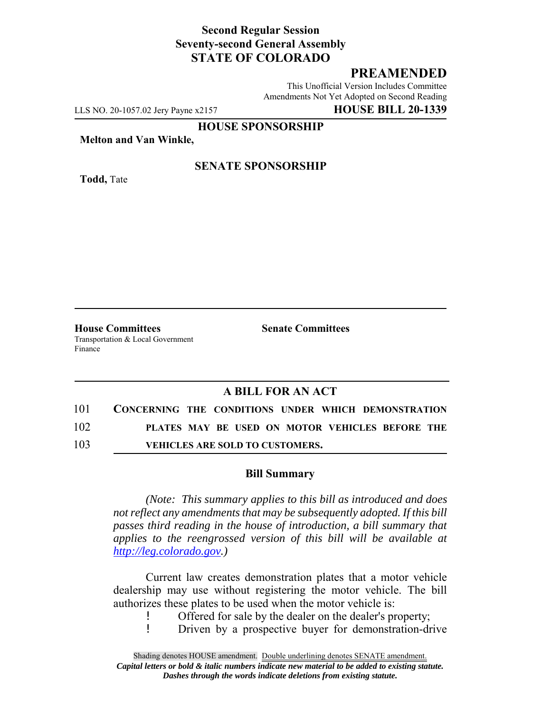## **Second Regular Session Seventy-second General Assembly STATE OF COLORADO**

# **PREAMENDED**

This Unofficial Version Includes Committee Amendments Not Yet Adopted on Second Reading

LLS NO. 20-1057.02 Jery Payne x2157 **HOUSE BILL 20-1339**

#### **HOUSE SPONSORSHIP**

**Melton and Van Winkle,**

**Todd,** Tate

### **SENATE SPONSORSHIP**

**House Committees Senate Committees** Transportation & Local Government Finance

## **A BILL FOR AN ACT**

| 101 | CONCERNING THE CONDITIONS UNDER WHICH DEMONSTRATION |  |  |  |
|-----|-----------------------------------------------------|--|--|--|
| 102 | PLATES MAY BE USED ON MOTOR VEHICLES BEFORE THE     |  |  |  |
| 103 | <b>VEHICLES ARE SOLD TO CUSTOMERS.</b>              |  |  |  |

### **Bill Summary**

*(Note: This summary applies to this bill as introduced and does not reflect any amendments that may be subsequently adopted. If this bill passes third reading in the house of introduction, a bill summary that applies to the reengrossed version of this bill will be available at http://leg.colorado.gov.)*

Current law creates demonstration plates that a motor vehicle dealership may use without registering the motor vehicle. The bill authorizes these plates to be used when the motor vehicle is:

! Offered for sale by the dealer on the dealer's property;<br>! Driven by a prospective buyer for demonstration-di

! Driven by a prospective buyer for demonstration-drive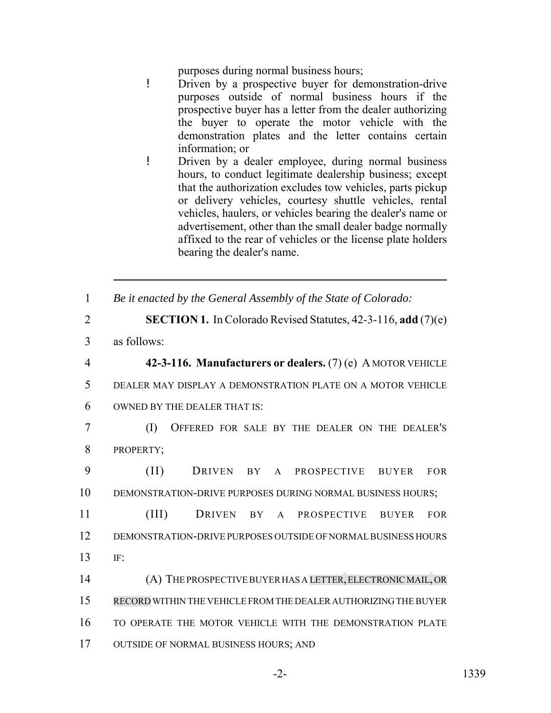purposes during normal business hours;

- ! Driven by a prospective buyer for demonstration-drive purposes outside of normal business hours if the prospective buyer has a letter from the dealer authorizing the buyer to operate the motor vehicle with the demonstration plates and the letter contains certain information; or
- ! Driven by a dealer employee, during normal business hours, to conduct legitimate dealership business; except that the authorization excludes tow vehicles, parts pickup or delivery vehicles, courtesy shuttle vehicles, rental vehicles, haulers, or vehicles bearing the dealer's name or advertisement, other than the small dealer badge normally affixed to the rear of vehicles or the license plate holders bearing the dealer's name.
- 1 *Be it enacted by the General Assembly of the State of Colorado:*
- 2 **SECTION 1.** In Colorado Revised Statutes, 42-3-116, **add** (7)(e) 3 as follows: 4 **42-3-116. Manufacturers or dealers.** (7) (e) A MOTOR VEHICLE 5 DEALER MAY DISPLAY A DEMONSTRATION PLATE ON A MOTOR VEHICLE 6 OWNED BY THE DEALER THAT IS: 7 (I) OFFERED FOR SALE BY THE DEALER ON THE DEALER'S 8 PROPERTY; 9 (II) DRIVEN BY A PROSPECTIVE BUYER FOR 10 DEMONSTRATION-DRIVE PURPOSES DURING NORMAL BUSINESS HOURS; 11 (III) DRIVEN BY A PROSPECTIVE BUYER FOR
- 12 DEMONSTRATION-DRIVE PURPOSES OUTSIDE OF NORMAL BUSINESS HOURS 13 IF:
- 14 (A) THE PROSPECTIVE BUYER HAS A LETTER, ELECTRONIC MAIL,OR 15 RECORD WITHIN THE VEHICLE FROM THE DEALER AUTHORIZING THE BUYER 16 TO OPERATE THE MOTOR VEHICLE WITH THE DEMONSTRATION PLATE 17 OUTSIDE OF NORMAL BUSINESS HOURS; AND